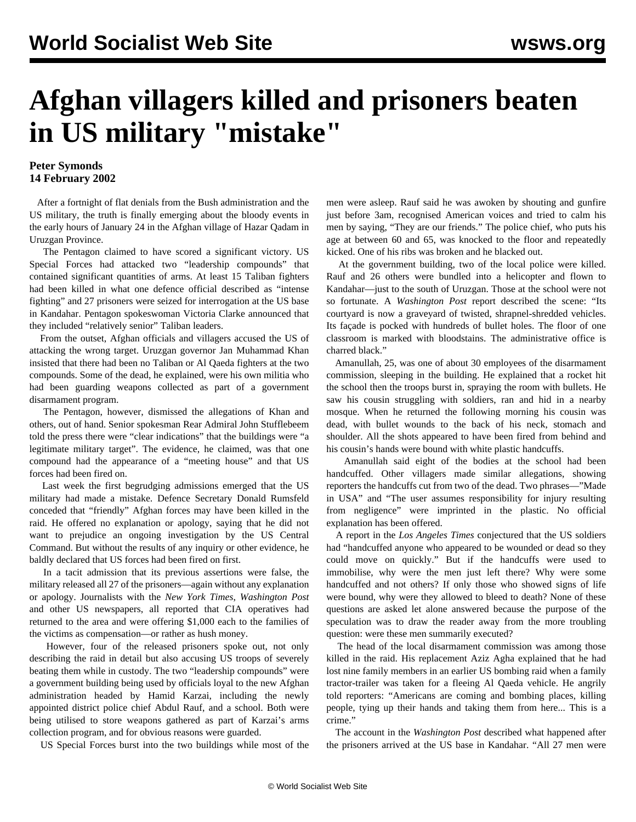## **Afghan villagers killed and prisoners beaten in US military "mistake"**

## **Peter Symonds 14 February 2002**

 After a fortnight of flat denials from the Bush administration and the US military, the truth is finally emerging about the bloody events in the early hours of January 24 in the Afghan village of Hazar Qadam in Uruzgan Province.

 The Pentagon claimed to have scored a significant victory. US Special Forces had attacked two "leadership compounds" that contained significant quantities of arms. At least 15 Taliban fighters had been killed in what one defence official described as "intense fighting" and 27 prisoners were seized for interrogation at the US base in Kandahar. Pentagon spokeswoman Victoria Clarke announced that they included "relatively senior" Taliban leaders.

 From the outset, Afghan officials and villagers accused the US of attacking the wrong target. Uruzgan governor Jan Muhammad Khan insisted that there had been no Taliban or Al Qaeda fighters at the two compounds. Some of the dead, he explained, were his own militia who had been guarding weapons collected as part of a government disarmament program.

 The Pentagon, however, dismissed the allegations of Khan and others, out of hand. Senior spokesman Rear Admiral John Stufflebeem told the press there were "clear indications" that the buildings were "a legitimate military target". The evidence, he claimed, was that one compound had the appearance of a "meeting house" and that US forces had been fired on.

 Last week the first begrudging admissions emerged that the US military had made a mistake. Defence Secretary Donald Rumsfeld conceded that "friendly" Afghan forces may have been killed in the raid. He offered no explanation or apology, saying that he did not want to prejudice an ongoing investigation by the US Central Command. But without the results of any inquiry or other evidence, he baldly declared that US forces had been fired on first.

 In a tacit admission that its previous assertions were false, the military released all 27 of the prisoners—again without any explanation or apology. Journalists with the *New York Times*, *Washington Post* and other US newspapers, all reported that CIA operatives had returned to the area and were offering \$1,000 each to the families of the victims as compensation—or rather as hush money.

 However, four of the released prisoners spoke out, not only describing the raid in detail but also accusing US troops of severely beating them while in custody. The two "leadership compounds" were a government building being used by officials loyal to the new Afghan administration headed by Hamid Karzai, including the newly appointed district police chief Abdul Rauf, and a school. Both were being utilised to store weapons gathered as part of Karzai's arms collection program, and for obvious reasons were guarded.

US Special Forces burst into the two buildings while most of the

men were asleep. Rauf said he was awoken by shouting and gunfire just before 3am, recognised American voices and tried to calm his men by saying, "They are our friends." The police chief, who puts his age at between 60 and 65, was knocked to the floor and repeatedly kicked. One of his ribs was broken and he blacked out.

 At the government building, two of the local police were killed. Rauf and 26 others were bundled into a helicopter and flown to Kandahar—just to the south of Uruzgan. Those at the school were not so fortunate. A *Washington Post* report described the scene: "Its courtyard is now a graveyard of twisted, shrapnel-shredded vehicles. Its façade is pocked with hundreds of bullet holes. The floor of one classroom is marked with bloodstains. The administrative office is charred black."

 Amanullah, 25, was one of about 30 employees of the disarmament commission, sleeping in the building. He explained that a rocket hit the school then the troops burst in, spraying the room with bullets. He saw his cousin struggling with soldiers, ran and hid in a nearby mosque. When he returned the following morning his cousin was dead, with bullet wounds to the back of his neck, stomach and shoulder. All the shots appeared to have been fired from behind and his cousin's hands were bound with white plastic handcuffs.

 Amanullah said eight of the bodies at the school had been handcuffed. Other villagers made similar allegations, showing reporters the handcuffs cut from two of the dead. Two phrases—"Made in USA" and "The user assumes responsibility for injury resulting from negligence" were imprinted in the plastic. No official explanation has been offered.

 A report in the *Los Angeles Times* conjectured that the US soldiers had "handcuffed anyone who appeared to be wounded or dead so they could move on quickly." But if the handcuffs were used to immobilise, why were the men just left there? Why were some handcuffed and not others? If only those who showed signs of life were bound, why were they allowed to bleed to death? None of these questions are asked let alone answered because the purpose of the speculation was to draw the reader away from the more troubling question: were these men summarily executed?

 The head of the local disarmament commission was among those killed in the raid. His replacement Aziz Agha explained that he had lost nine family members in an earlier US bombing raid when a family tractor-trailer was taken for a fleeing Al Qaeda vehicle. He angrily told reporters: "Americans are coming and bombing places, killing people, tying up their hands and taking them from here... This is a crime."

 The account in the *Washington Post* described what happened after the prisoners arrived at the US base in Kandahar. "All 27 men were